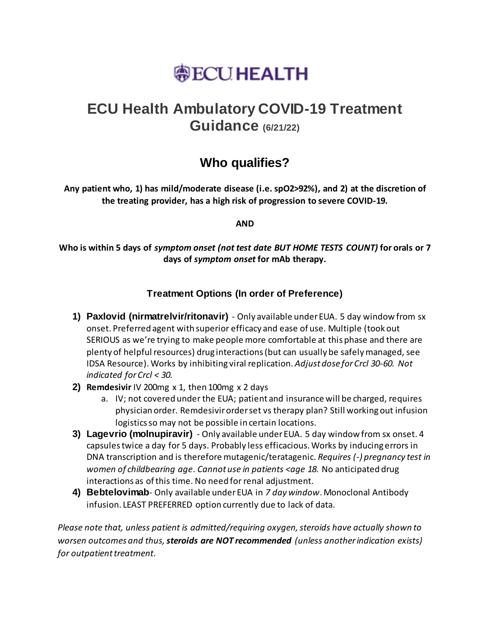# **@ECUHEALTH**

## **ECU Health Ambulatory COVID-19 Treatment Guidance (6/21/22)**

### **Who qualifies?**

**Any patient who, 1) has mild/moderate disease (i.e. spO2>92%), and 2) at the discretion of the treating provider, has a high risk of progression to severe COVID-19.**

**AND**

**Who is within 5 days of** *symptom onset (not test date BUT HOME TESTS COUNT)* **for orals or 7 days of** *symptom onset* **for mAb therapy.**

### **Treatment Options (In order of Preference)**

- **1) Paxlovid (nirmatrelvir/ritonavir)**  Only available under EUA. 5 day window from sx onset. Preferred agent with superior efficacy and ease of use. Multiple (took out SERIOUS as we're trying to make people more comfortable at this phase and there are plenty of helpful resources) drug interactions (but can usually be safely managed, see IDSA Resource). Works by inhibiting viral replication. *Adjust dose for Crcl 30-60. Not indicated for Crcl < 30.*
- **2) Remdesivir** IV 200mg x 1, then 100mg x 2 days
	- a. IV; not covered under the EUA; patient and insurance will be charged, requires physician order. Remdesivir order set vs therapy plan? Still working out infusion logistics so may not be possible in certain locations.
- **3) Lagevrio (molnupiravir)**  Only available under EUA. 5 day window from sx onset. 4 capsules twice a day for 5 days. Probably less efficacious. Works by inducing errors in DNA transcription and is therefore mutagenic/teratagenic. *Requires (-) pregnancy test in women of childbearing age*. *Cannot use in patients <age 18.* No anticipated drug interactions as of this time. No need for renal adjustment.
- **4) Bebtelovimab** Only available under EUA in *7 day window*. Monoclonal Antibody infusion. LEAST PREFERRED option currently due to lack of data.

*Please note that, unless patient is admitted/requiring oxygen, steroids have actually shown to worsen outcomes and thus, steroids are NOT recommended (unless another indication exists) for outpatient treatment.*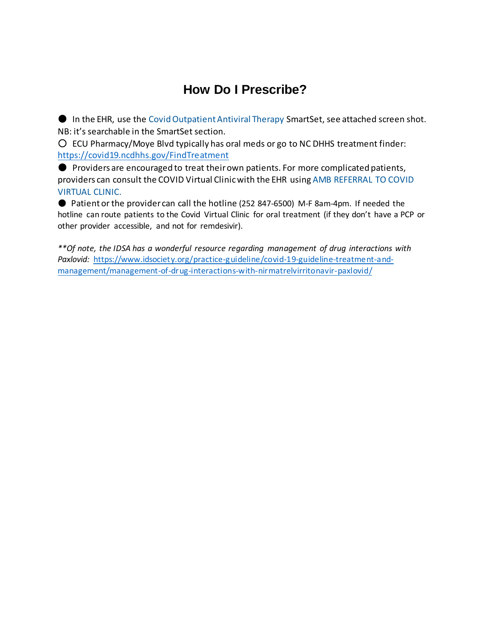### **How Do I Prescribe?**

● In the EHR, use the Covid Outpatient Antiviral Therapy SmartSet, see attached screen shot. NB: it's searchable in the SmartSet section.

○ ECU Pharmacy/Moye Blvd typically has oral meds or go to NC DHHS treatment finder: <https://covid19.ncdhhs.gov/FindTreatment>

● Providers are encouraged to treat their own patients. For more complicated patients, providers can consult the COVID Virtual Clinic with the EHR using AMB REFERRAL TO COVID VIRTUAL CLINIC.

● Patient or the provider can call the hotline (252 847-6500) M-F 8am-4pm. If needed the hotline can route patients to the Covid Virtual Clinic for oral treatment (if they don't have a PCP or other provider accessible, and not for remdesivir).

*\*\*Of note, the IDSA has a wonderful resource regarding management of drug interactions with Paxlovid:* [https://www.idsociety.org/practice-guideline/covid-19-guideline-treatment-and](https://www.idsociety.org/practice-guideline/covid-19-guideline-treatment-and-management/management-of-drug-interactions-with-nirmatrelvirritonavir-paxlovid/)[management/management-of-drug-interactions-with-nirmatrelvirritonavir-paxlovid/](https://www.idsociety.org/practice-guideline/covid-19-guideline-treatment-and-management/management-of-drug-interactions-with-nirmatrelvirritonavir-paxlovid/)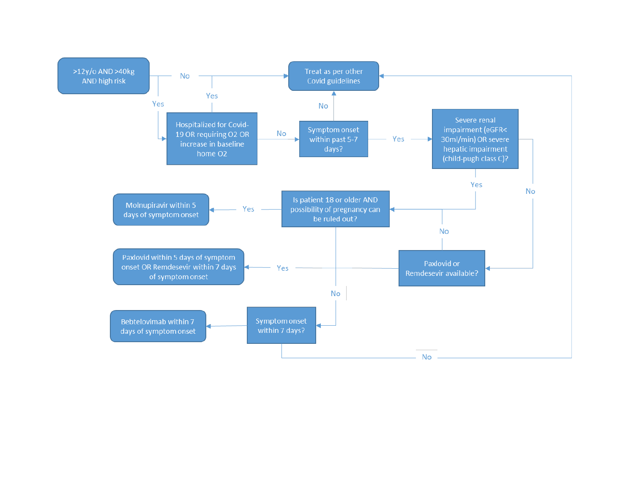